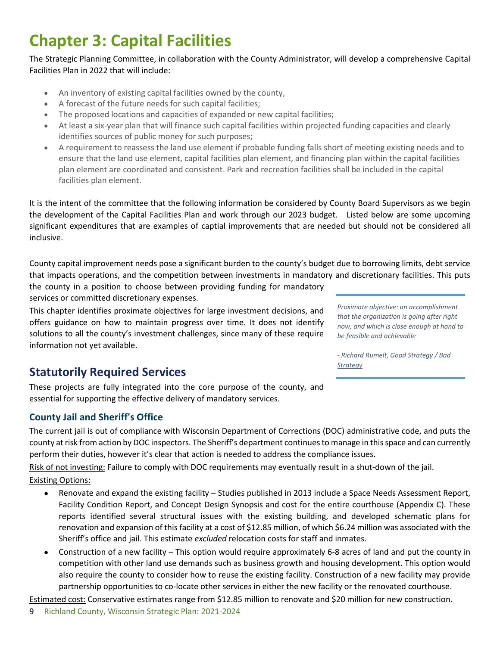# **Chapter 3: Capital Facilities**

The Strategic Planning Committee, in collaboration with the County Administrator, will develop a comprehensive Capital Facilities Plan in 2022 that will include:

- An inventory of existing capital facilities owned by the county,
- A forecast of the future needs for such capital facilities;
- The proposed locations and capacities of expanded or new capital facilities;
- At least a six-year plan that will finance such capital facilities within projected funding capacities and clearly identifies sources of public money for such purposes;
- A requirement to reassess the land use element if probable funding falls short of meeting existing needs and to ensure that the land use element, capital facilities plan element, and financing plan within the capital facilities plan element are coordinated and consistent. Park and recreation facilities shall be included in the capital facilities plan element.

It is the intent of the committee that the following information be considered by County Board Supervisors as we begin the development of the Capital Facilities Plan and work through our 2023 budget. Listed below are some upcoming significant expenditures that are examples of captial improvements that are needed but should not be considered all inclusive.

County capital improvement needs pose a significant burden to the county's budget due to borrowing limits, debt service that impacts operations, and the competition between investments in mandatory and discretionary facilities. This puts

the county in a position to choose between providing funding for mandatory services or committed discretionary expenses.

This chapter identifies proximate objectives for large investment decisions, and offers guidance on how to maintain progress over time. It does not identify solutions to all the county's investment challenges, since many of these require information not yet available.

*Proximate objective: an accomplishment that the organization is going after right now, and which is close enough at hand to be feasible and achievable*

*- Richard Rumelt, Good Strategy / Bad Strategy*

# **Statutorily Required Services**

These projects are fully integrated into the core purpose of the county, and essential for supporting the effective delivery of mandatory services.

# **County Jail and Sheriff's Office**

The current jail is out of compliance with Wisconsin Department of Corrections (DOC) administrative code, and puts the county at risk from action by DOC inspectors. The Sheriff's department continues to manage in this space and can currently perform their duties, however it's clear that action is needed to address the compliance issues.

Risk of not investing: Failure to comply with DOC requirements may eventually result in a shut-down of the jail.

#### Existing Options:

- Renovate and expand the existing facility Studies published in 2013 include a Space Needs Assessment Report, Facility Condition Report, and Concept Design Synopsis and cost for the entire courthouse (Appendix C). These reports identified several structural issues with the existing building, and developed schematic plans for renovation and expansion of this facility at a cost of \$12.85 million, of which \$6.24 million was associated with the Sheriff's office and jail. This estimate *excluded* relocation costs for staff and inmates.
- Construction of a new facility This option would require approximately 6-8 acres of land and put the county in competition with other land use demands such as business growth and housing development. This option would also require the county to consider how to reuse the existing facility. Construction of a new facility may provide partnership opportunities to co-locate other services in either the new facility or the renovated courthouse.

Estimated cost: Conservative estimates range from \$12.85 million to renovate and \$20 million for new construction.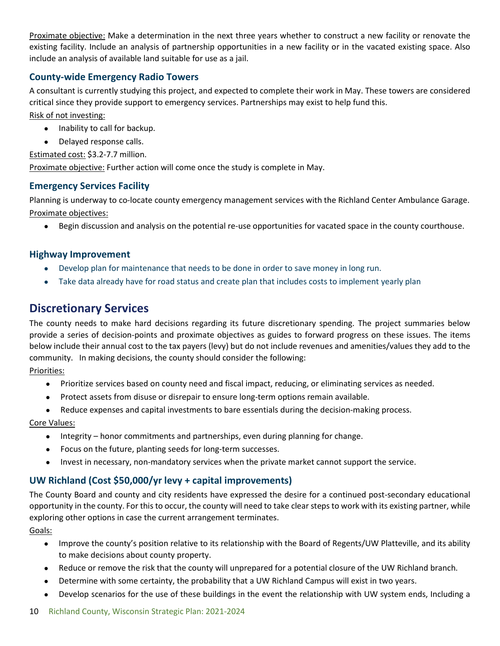Proximate objective: Make a determination in the next three years whether to construct a new facility or renovate the existing facility. Include an analysis of partnership opportunities in a new facility or in the vacated existing space. Also include an analysis of available land suitable for use as a jail.

### **County-wide Emergency Radio Towers**

A consultant is currently studying this project, and expected to complete their work in May. These towers are considered critical since they provide support to emergency services. Partnerships may exist to help fund this.

Risk of not investing:

- Inability to call for backup.
- Delayed response calls.

Estimated cost: \$3.2-7.7 million.

Proximate objective: Further action will come once the study is complete in May.

#### **Emergency Services Facility**

Planning is underway to co-locate county emergency management services with the Richland Center Ambulance Garage. Proximate objectives:

• Begin discussion and analysis on the potential re-use opportunities for vacated space in the county courthouse.

#### **Highway Improvement**

- Develop plan for maintenance that needs to be done in order to save money in long run.
- Take data already have for road status and create plan that includes costs to implement yearly plan

# **Discretionary Services**

The county needs to make hard decisions regarding its future discretionary spending. The project summaries below provide a series of decision-points and proximate objectives as guides to forward progress on these issues. The items below include their annual cost to the tax payers (levy) but do not include revenues and amenities/values they add to the community. In making decisions, the county should consider the following:

#### Priorities:

- Prioritize services based on county need and fiscal impact, reducing, or eliminating services as needed.
- Protect assets from disuse or disrepair to ensure long-term options remain available.
- Reduce expenses and capital investments to bare essentials during the decision-making process.

#### Core Values:

- Integrity honor commitments and partnerships, even during planning for change.
- Focus on the future, planting seeds for long-term successes.
- Invest in necessary, non-mandatory services when the private market cannot support the service.

## **UW Richland (Cost \$50,000/yr levy + capital improvements)**

The County Board and county and city residents have expressed the desire for a continued post-secondary educational opportunity in the county. For this to occur, the county will need to take clear steps to work with its existing partner, while exploring other options in case the current arrangement terminates.

Goals:

- Improve the county's position relative to its relationship with the Board of Regents/UW Platteville, and its ability to make decisions about county property.
- Reduce or remove the risk that the county will unprepared for a potential closure of the UW Richland branch.
- Determine with some certainty, the probability that a UW Richland Campus will exist in two years.
- Develop scenarios for the use of these buildings in the event the relationship with UW system ends, Including a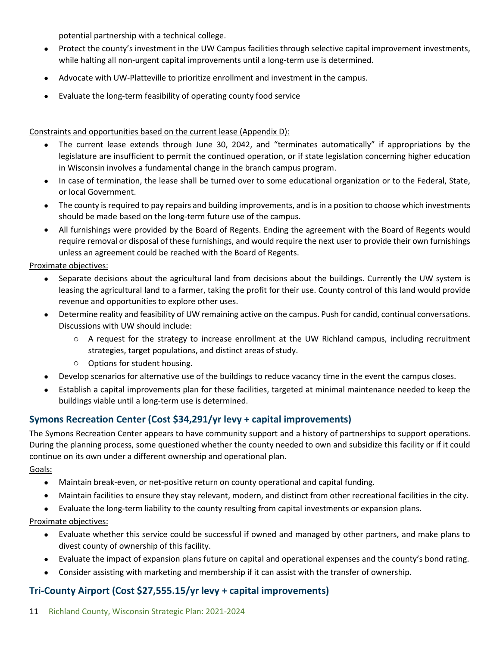potential partnership with a technical college.

- Protect the county's investment in the UW Campus facilities through selective capital improvement investments, while halting all non-urgent capital improvements until a long-term use is determined.
- Advocate with UW-Platteville to prioritize enrollment and investment in the campus.
- Evaluate the long-term feasibility of operating county food service

Constraints and opportunities based on the current lease (Appendix D):

- The current lease extends through June 30, 2042, and "terminates automatically" if appropriations by the legislature are insufficient to permit the continued operation, or if state legislation concerning higher education in Wisconsin involves a fundamental change in the branch campus program.
- In case of termination, the lease shall be turned over to some educational organization or to the Federal, State, or local Government.
- The county is required to pay repairs and building improvements, and is in a position to choose which investments should be made based on the long-term future use of the campus.
- All furnishings were provided by the Board of Regents. Ending the agreement with the Board of Regents would require removal or disposal of these furnishings, and would require the next user to provide their own furnishings unless an agreement could be reached with the Board of Regents.

Proximate objectives:

- Separate decisions about the agricultural land from decisions about the buildings. Currently the UW system is leasing the agricultural land to a farmer, taking the profit for their use. County control of this land would provide revenue and opportunities to explore other uses.
- Determine reality and feasibility of UW remaining active on the campus. Push for candid, continual conversations. Discussions with UW should include:
	- o A request for the strategy to increase enrollment at the UW Richland campus, including recruitment strategies, target populations, and distinct areas of study.
	- o Options for student housing.
- Develop scenarios for alternative use of the buildings to reduce vacancy time in the event the campus closes.
- Establish a capital improvements plan for these facilities, targeted at minimal maintenance needed to keep the buildings viable until a long-term use is determined.

# **Symons Recreation Center (Cost \$34,291/yr levy + capital improvements)**

The Symons Recreation Center appears to have community support and a history of partnerships to support operations. During the planning process, some questioned whether the county needed to own and subsidize this facility or if it could continue on its own under a different ownership and operational plan.

Goals:

- Maintain break-even, or net-positive return on county operational and capital funding.
- Maintain facilities to ensure they stay relevant, modern, and distinct from other recreational facilities in the city.
- Evaluate the long-term liability to the county resulting from capital investments or expansion plans.

Proximate objectives:

- Evaluate whether this service could be successful if owned and managed by other partners, and make plans to divest county of ownership of this facility.
- Evaluate the impact of expansion plans future on capital and operational expenses and the county's bond rating.
- Consider assisting with marketing and membership if it can assist with the transfer of ownership.

# **Tri-County Airport (Cost \$27,555.15/yr levy + capital improvements)**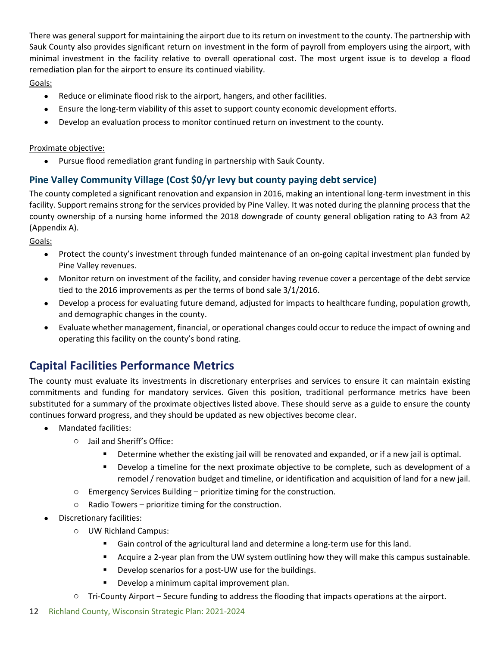There was general support for maintaining the airport due to its return on investment to the county. The partnership with Sauk County also provides significant return on investment in the form of payroll from employers using the airport, with minimal investment in the facility relative to overall operational cost. The most urgent issue is to develop a flood remediation plan for the airport to ensure its continued viability.

Goals:

- Reduce or eliminate flood risk to the airport, hangers, and other facilities.
- Ensure the long-term viability of this asset to support county economic development efforts.
- Develop an evaluation process to monitor continued return on investment to the county.

#### Proximate objective:

• Pursue flood remediation grant funding in partnership with Sauk County.

# **Pine Valley Community Village (Cost \$0/yr levy but county paying debt service)**

The county completed a significant renovation and expansion in 2016, making an intentional long-term investment in this facility. Support remains strong for the services provided by Pine Valley. It was noted during the planning process that the county ownership of a nursing home informed the 2018 downgrade of county general obligation rating to A3 from A2 (Appendix A).

Goals:

- Protect the county's investment through funded maintenance of an on-going capital investment plan funded by Pine Valley revenues.
- Monitor return on investment of the facility, and consider having revenue cover a percentage of the debt service tied to the 2016 improvements as per the terms of bond sale 3/1/2016.
- Develop a process for evaluating future demand, adjusted for impacts to healthcare funding, population growth, and demographic changes in the county.
- Evaluate whether management, financial, or operational changes could occur to reduce the impact of owning and operating this facility on the county's bond rating.

# **Capital Facilities Performance Metrics**

The county must evaluate its investments in discretionary enterprises and services to ensure it can maintain existing commitments and funding for mandatory services. Given this position, traditional performance metrics have been substituted for a summary of the proximate objectives listed above. These should serve as a guide to ensure the county continues forward progress, and they should be updated as new objectives become clear.

- Mandated facilities:
	- o Jail and Sheriff's Office:
		- Determine whether the existing jail will be renovated and expanded, or if a new jail is optimal.
		- **Develop a timeline for the next proximate objective to be complete, such as development of a** remodel / renovation budget and timeline, or identification and acquisition of land for a new jail.
	- $\circ$  Emergency Services Building prioritize timing for the construction.
	- o Radio Towers prioritize timing for the construction.
- Discretionary facilities:
	- o UW Richland Campus:
		- Gain control of the agricultural land and determine a long-term use for this land.
		- Acquire a 2-year plan from the UW system outlining how they will make this campus sustainable.
		- **Develop scenarios for a post-UW use for the buildings.**
		- **Develop a minimum capital improvement plan.**
	- $\circ$  Tri-County Airport Secure funding to address the flooding that impacts operations at the airport.